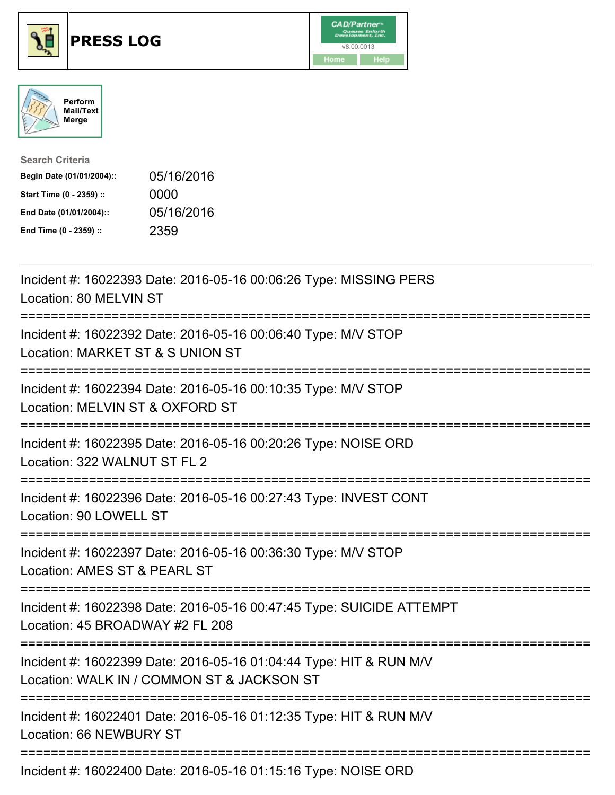





| <b>Search Criteria</b>    |            |
|---------------------------|------------|
| Begin Date (01/01/2004):: | 05/16/2016 |
| Start Time (0 - 2359) ::  | 0000       |
| End Date (01/01/2004)::   | 05/16/2016 |
| End Time (0 - 2359) ::    | 2359       |

| Incident #: 16022393 Date: 2016-05-16 00:06:26 Type: MISSING PERS<br>Location: 80 MELVIN ST                                                                          |
|----------------------------------------------------------------------------------------------------------------------------------------------------------------------|
| Incident #: 16022392 Date: 2016-05-16 00:06:40 Type: M/V STOP<br>Location: MARKET ST & S UNION ST<br>=========================<br>================================== |
| Incident #: 16022394 Date: 2016-05-16 00:10:35 Type: M/V STOP<br>Location: MELVIN ST & OXFORD ST                                                                     |
| Incident #: 16022395 Date: 2016-05-16 00:20:26 Type: NOISE ORD<br>Location: 322 WALNUT ST FL 2                                                                       |
| Incident #: 16022396 Date: 2016-05-16 00:27:43 Type: INVEST CONT<br>Location: 90 LOWELL ST                                                                           |
| Incident #: 16022397 Date: 2016-05-16 00:36:30 Type: M/V STOP<br>Location: AMES ST & PEARL ST                                                                        |
| Incident #: 16022398 Date: 2016-05-16 00:47:45 Type: SUICIDE ATTEMPT<br>Location: 45 BROADWAY #2 FL 208                                                              |
| Incident #: 16022399 Date: 2016-05-16 01:04:44 Type: HIT & RUN M/V<br>Location: WALK IN / COMMON ST & JACKSON ST                                                     |
| Incident #: 16022401 Date: 2016-05-16 01:12:35 Type: HIT & RUN M/V<br>Location: 66 NEWBURY ST                                                                        |
|                                                                                                                                                                      |

Incident #: 16022400 Date: 2016-05-16 01:15:16 Type: NOISE ORD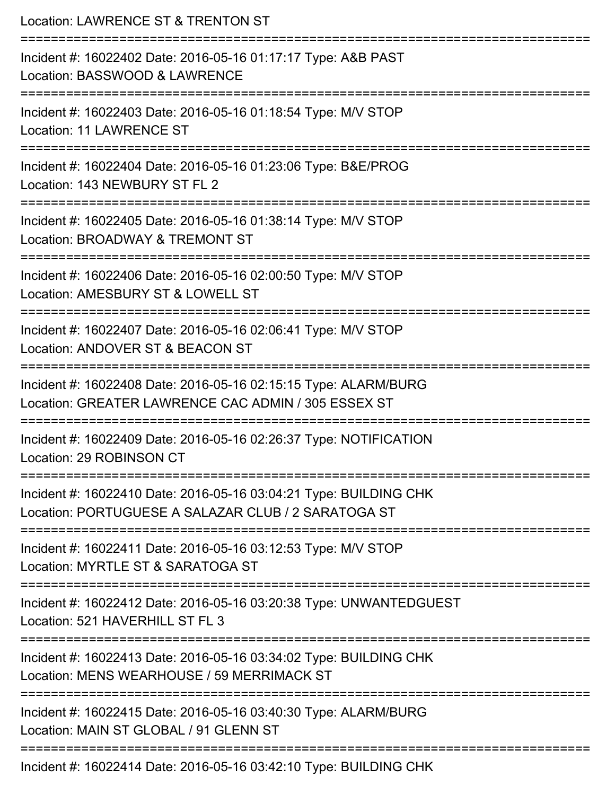| Location: LAWRENCE ST & TRENTON ST                                                                                                   |
|--------------------------------------------------------------------------------------------------------------------------------------|
| Incident #: 16022402 Date: 2016-05-16 01:17:17 Type: A&B PAST<br>Location: BASSWOOD & LAWRENCE<br>---------------------              |
| Incident #: 16022403 Date: 2016-05-16 01:18:54 Type: M/V STOP<br>Location: 11 LAWRENCE ST                                            |
| Incident #: 16022404 Date: 2016-05-16 01:23:06 Type: B&E/PROG<br>Location: 143 NEWBURY ST FL 2                                       |
| Incident #: 16022405 Date: 2016-05-16 01:38:14 Type: M/V STOP<br>Location: BROADWAY & TREMONT ST                                     |
| Incident #: 16022406 Date: 2016-05-16 02:00:50 Type: M/V STOP<br>Location: AMESBURY ST & LOWELL ST<br>============================== |
| Incident #: 16022407 Date: 2016-05-16 02:06:41 Type: M/V STOP<br>Location: ANDOVER ST & BEACON ST                                    |
| Incident #: 16022408 Date: 2016-05-16 02:15:15 Type: ALARM/BURG<br>Location: GREATER LAWRENCE CAC ADMIN / 305 ESSEX ST               |
| Incident #: 16022409 Date: 2016-05-16 02:26:37 Type: NOTIFICATION<br>Location: 29 ROBINSON CT                                        |
| Incident #: 16022410 Date: 2016-05-16 03:04:21 Type: BUILDING CHK<br>Location: PORTUGUESE A SALAZAR CLUB / 2 SARATOGA ST             |
| Incident #: 16022411 Date: 2016-05-16 03:12:53 Type: M/V STOP<br>Location: MYRTLE ST & SARATOGA ST                                   |
| Incident #: 16022412 Date: 2016-05-16 03:20:38 Type: UNWANTEDGUEST<br>Location: 521 HAVERHILL ST FL 3                                |
| Incident #: 16022413 Date: 2016-05-16 03:34:02 Type: BUILDING CHK<br>Location: MENS WEARHOUSE / 59 MERRIMACK ST                      |
| Incident #: 16022415 Date: 2016-05-16 03:40:30 Type: ALARM/BURG<br>Location: MAIN ST GLOBAL / 91 GLENN ST                            |
| Incident #: 16022414 Date: 2016-05-16 03:42:10 Type: BUILDING CHK                                                                    |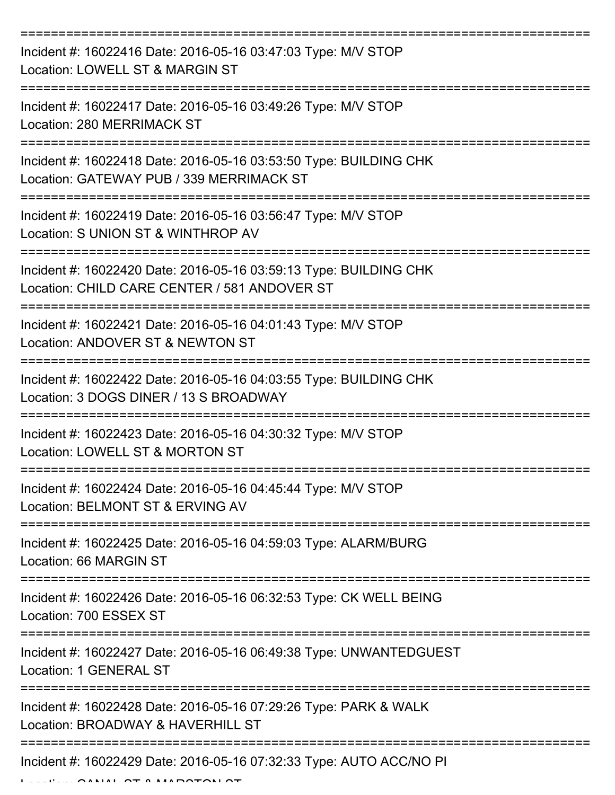| Incident #: 16022416 Date: 2016-05-16 03:47:03 Type: M/V STOP<br>Location: LOWELL ST & MARGIN ST                  |
|-------------------------------------------------------------------------------------------------------------------|
| Incident #: 16022417 Date: 2016-05-16 03:49:26 Type: M/V STOP<br>Location: 280 MERRIMACK ST                       |
| Incident #: 16022418 Date: 2016-05-16 03:53:50 Type: BUILDING CHK<br>Location: GATEWAY PUB / 339 MERRIMACK ST     |
| Incident #: 16022419 Date: 2016-05-16 03:56:47 Type: M/V STOP<br>Location: S UNION ST & WINTHROP AV               |
| Incident #: 16022420 Date: 2016-05-16 03:59:13 Type: BUILDING CHK<br>Location: CHILD CARE CENTER / 581 ANDOVER ST |
| Incident #: 16022421 Date: 2016-05-16 04:01:43 Type: M/V STOP<br>Location: ANDOVER ST & NEWTON ST                 |
| Incident #: 16022422 Date: 2016-05-16 04:03:55 Type: BUILDING CHK<br>Location: 3 DOGS DINER / 13 S BROADWAY       |
| Incident #: 16022423 Date: 2016-05-16 04:30:32 Type: M/V STOP<br>Location: LOWELL ST & MORTON ST                  |
| Incident #: 16022424 Date: 2016-05-16 04:45:44 Type: M/V STOP<br>Location: BELMONT ST & ERVING AV                 |
| Incident #: 16022425 Date: 2016-05-16 04:59:03 Type: ALARM/BURG<br>Location: 66 MARGIN ST                         |
| Incident #: 16022426 Date: 2016-05-16 06:32:53 Type: CK WELL BEING<br>Location: 700 ESSEX ST                      |
| Incident #: 16022427 Date: 2016-05-16 06:49:38 Type: UNWANTEDGUEST<br>Location: 1 GENERAL ST                      |
| Incident #: 16022428 Date: 2016-05-16 07:29:26 Type: PARK & WALK<br>Location: BROADWAY & HAVERHILL ST             |
| Incident #: 16022429 Date: 2016-05-16 07:32:33 Type: AUTO ACC/NO PI                                               |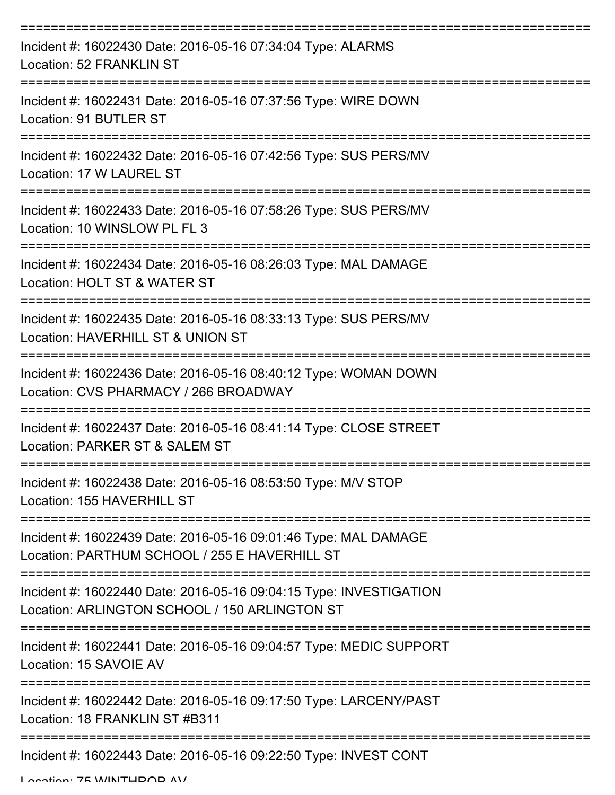| Incident #: 16022430 Date: 2016-05-16 07:34:04 Type: ALARMS<br><b>Location: 52 FRANKLIN ST</b>                      |
|---------------------------------------------------------------------------------------------------------------------|
| Incident #: 16022431 Date: 2016-05-16 07:37:56 Type: WIRE DOWN<br>Location: 91 BUTLER ST                            |
| Incident #: 16022432 Date: 2016-05-16 07:42:56 Type: SUS PERS/MV<br>Location: 17 W LAUREL ST                        |
| Incident #: 16022433 Date: 2016-05-16 07:58:26 Type: SUS PERS/MV<br>Location: 10 WINSLOW PL FL 3                    |
| ;============<br>Incident #: 16022434 Date: 2016-05-16 08:26:03 Type: MAL DAMAGE<br>Location: HOLT ST & WATER ST    |
| Incident #: 16022435 Date: 2016-05-16 08:33:13 Type: SUS PERS/MV<br>Location: HAVERHILL ST & UNION ST               |
| Incident #: 16022436 Date: 2016-05-16 08:40:12 Type: WOMAN DOWN<br>Location: CVS PHARMACY / 266 BROADWAY            |
| Incident #: 16022437 Date: 2016-05-16 08:41:14 Type: CLOSE STREET<br>Location: PARKER ST & SALEM ST                 |
| Incident #: 16022438 Date: 2016-05-16 08:53:50 Type: M/V STOP<br>Location: 155 HAVERHILL ST                         |
| Incident #: 16022439 Date: 2016-05-16 09:01:46 Type: MAL DAMAGE<br>Location: PARTHUM SCHOOL / 255 E HAVERHILL ST    |
| Incident #: 16022440 Date: 2016-05-16 09:04:15 Type: INVESTIGATION<br>Location: ARLINGTON SCHOOL / 150 ARLINGTON ST |
| Incident #: 16022441 Date: 2016-05-16 09:04:57 Type: MEDIC SUPPORT<br>Location: 15 SAVOIE AV                        |
| Incident #: 16022442 Date: 2016-05-16 09:17:50 Type: LARCENY/PAST<br>Location: 18 FRANKLIN ST #B311                 |
| Incident #: 16022443 Date: 2016-05-16 09:22:50 Type: INVEST CONT                                                    |

Location: 75 WINITHDOD AV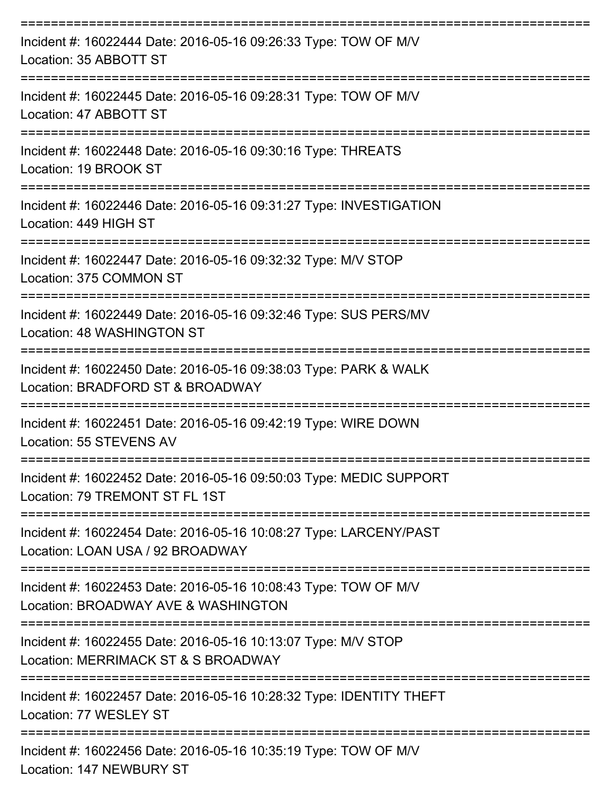| Incident #: 16022444 Date: 2016-05-16 09:26:33 Type: TOW OF M/V<br>Location: 35 ABBOTT ST                           |
|---------------------------------------------------------------------------------------------------------------------|
| Incident #: 16022445 Date: 2016-05-16 09:28:31 Type: TOW OF M/V<br>Location: 47 ABBOTT ST                           |
| Incident #: 16022448 Date: 2016-05-16 09:30:16 Type: THREATS<br>Location: 19 BROOK ST                               |
| Incident #: 16022446 Date: 2016-05-16 09:31:27 Type: INVESTIGATION<br>Location: 449 HIGH ST<br>-------------------- |
| Incident #: 16022447 Date: 2016-05-16 09:32:32 Type: M/V STOP<br>Location: 375 COMMON ST                            |
| Incident #: 16022449 Date: 2016-05-16 09:32:46 Type: SUS PERS/MV<br>Location: 48 WASHINGTON ST<br>:=============    |
| Incident #: 16022450 Date: 2016-05-16 09:38:03 Type: PARK & WALK<br>Location: BRADFORD ST & BROADWAY                |
| Incident #: 16022451 Date: 2016-05-16 09:42:19 Type: WIRE DOWN<br>Location: 55 STEVENS AV                           |
| Incident #: 16022452 Date: 2016-05-16 09:50:03 Type: MEDIC SUPPORT<br>Location: 79 TREMONT ST FL 1ST                |
| Incident #: 16022454 Date: 2016-05-16 10:08:27 Type: LARCENY/PAST<br>Location: LOAN USA / 92 BROADWAY               |
| Incident #: 16022453 Date: 2016-05-16 10:08:43 Type: TOW OF M/V<br>Location: BROADWAY AVE & WASHINGTON              |
| Incident #: 16022455 Date: 2016-05-16 10:13:07 Type: M/V STOP<br>Location: MERRIMACK ST & S BROADWAY                |
| Incident #: 16022457 Date: 2016-05-16 10:28:32 Type: IDENTITY THEFT<br>Location: 77 WESLEY ST                       |
| =================<br>Incident #: 16022456 Date: 2016-05-16 10:35:19 Type: TOW OF M/V<br>Location: 147 NEWBURY ST    |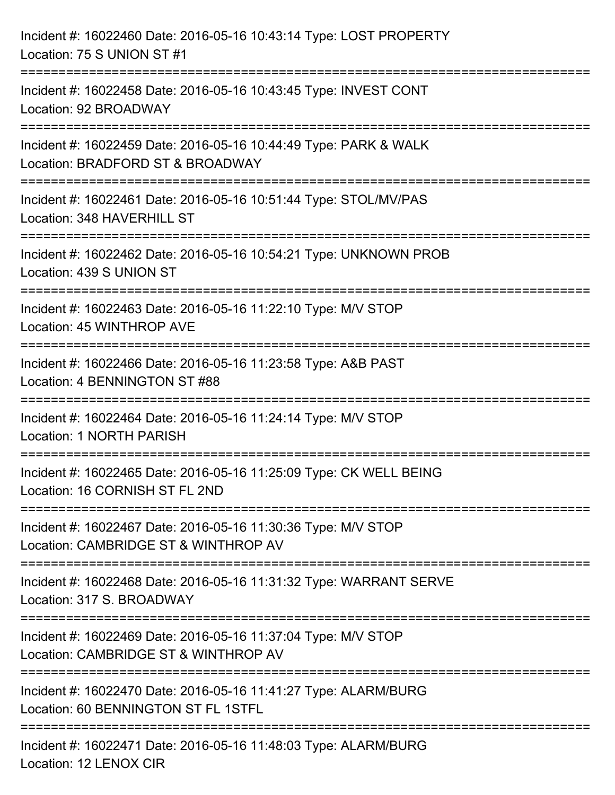| Incident #: 16022460 Date: 2016-05-16 10:43:14 Type: LOST PROPERTY<br>Location: 75 S UNION ST #1                                                                     |
|----------------------------------------------------------------------------------------------------------------------------------------------------------------------|
| =====================================<br>------------------------------<br>Incident #: 16022458 Date: 2016-05-16 10:43:45 Type: INVEST CONT<br>Location: 92 BROADWAY |
| ======================================<br>Incident #: 16022459 Date: 2016-05-16 10:44:49 Type: PARK & WALK<br>Location: BRADFORD ST & BROADWAY                       |
| Incident #: 16022461 Date: 2016-05-16 10:51:44 Type: STOL/MV/PAS<br>Location: 348 HAVERHILL ST                                                                       |
| Incident #: 16022462 Date: 2016-05-16 10:54:21 Type: UNKNOWN PROB<br>Location: 439 S UNION ST                                                                        |
| Incident #: 16022463 Date: 2016-05-16 11:22:10 Type: M/V STOP<br>Location: 45 WINTHROP AVE                                                                           |
| Incident #: 16022466 Date: 2016-05-16 11:23:58 Type: A&B PAST<br>Location: 4 BENNINGTON ST #88                                                                       |
| Incident #: 16022464 Date: 2016-05-16 11:24:14 Type: M/V STOP<br>Location: 1 NORTH PARISH                                                                            |
| Incident #: 16022465 Date: 2016-05-16 11:25:09 Type: CK WELL BEING<br>Location: 16 CORNISH ST FL 2ND                                                                 |
| Incident #: 16022467 Date: 2016-05-16 11:30:36 Type: M/V STOP<br>Location: CAMBRIDGE ST & WINTHROP AV                                                                |
| Incident #: 16022468 Date: 2016-05-16 11:31:32 Type: WARRANT SERVE<br>Location: 317 S. BROADWAY                                                                      |
| Incident #: 16022469 Date: 2016-05-16 11:37:04 Type: M/V STOP<br>Location: CAMBRIDGE ST & WINTHROP AV                                                                |
| Incident #: 16022470 Date: 2016-05-16 11:41:27 Type: ALARM/BURG<br>Location: 60 BENNINGTON ST FL 1STFL                                                               |
| Incident #: 16022471 Date: 2016-05-16 11:48:03 Type: ALARM/BURG<br>Location: 12 LENOX CIR                                                                            |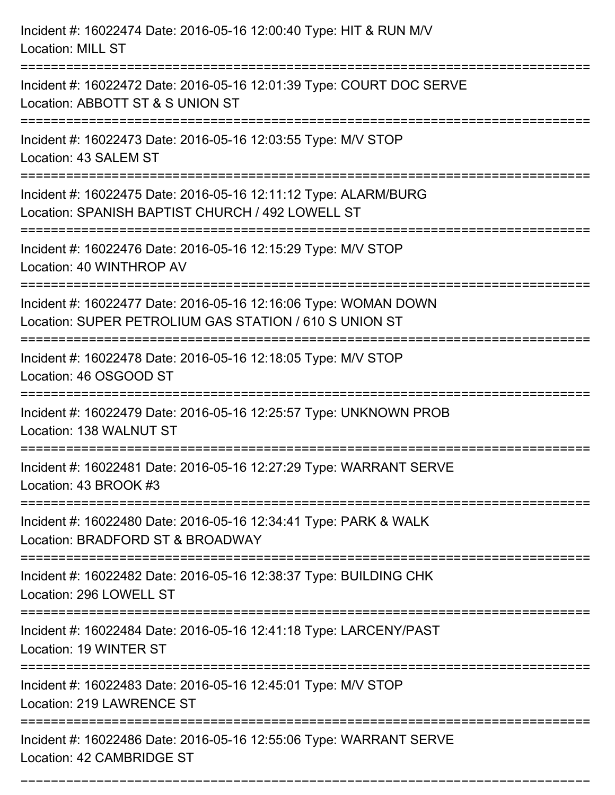| Incident #: 16022474 Date: 2016-05-16 12:00:40 Type: HIT & RUN M/V<br><b>Location: MILL ST</b>                            |
|---------------------------------------------------------------------------------------------------------------------------|
| Incident #: 16022472 Date: 2016-05-16 12:01:39 Type: COURT DOC SERVE<br>Location: ABBOTT ST & S UNION ST                  |
| Incident #: 16022473 Date: 2016-05-16 12:03:55 Type: M/V STOP<br>Location: 43 SALEM ST                                    |
| Incident #: 16022475 Date: 2016-05-16 12:11:12 Type: ALARM/BURG<br>Location: SPANISH BAPTIST CHURCH / 492 LOWELL ST       |
| Incident #: 16022476 Date: 2016-05-16 12:15:29 Type: M/V STOP<br>Location: 40 WINTHROP AV                                 |
| Incident #: 16022477 Date: 2016-05-16 12:16:06 Type: WOMAN DOWN<br>Location: SUPER PETROLIUM GAS STATION / 610 S UNION ST |
| Incident #: 16022478 Date: 2016-05-16 12:18:05 Type: M/V STOP<br>Location: 46 OSGOOD ST                                   |
| Incident #: 16022479 Date: 2016-05-16 12:25:57 Type: UNKNOWN PROB<br>Location: 138 WALNUT ST                              |
| Incident #: 16022481 Date: 2016-05-16 12:27:29 Type: WARRANT SERVE<br>Location: 43 BROOK #3                               |
| Incident #: 16022480 Date: 2016-05-16 12:34:41 Type: PARK & WALK<br>Location: BRADFORD ST & BROADWAY                      |
| Incident #: 16022482 Date: 2016-05-16 12:38:37 Type: BUILDING CHK<br>Location: 296 LOWELL ST                              |
| Incident #: 16022484 Date: 2016-05-16 12:41:18 Type: LARCENY/PAST<br>Location: 19 WINTER ST                               |
| Incident #: 16022483 Date: 2016-05-16 12:45:01 Type: M/V STOP<br>Location: 219 LAWRENCE ST                                |
| Incident #: 16022486 Date: 2016-05-16 12:55:06 Type: WARRANT SERVE<br>Location: 42 CAMBRIDGE ST                           |

===========================================================================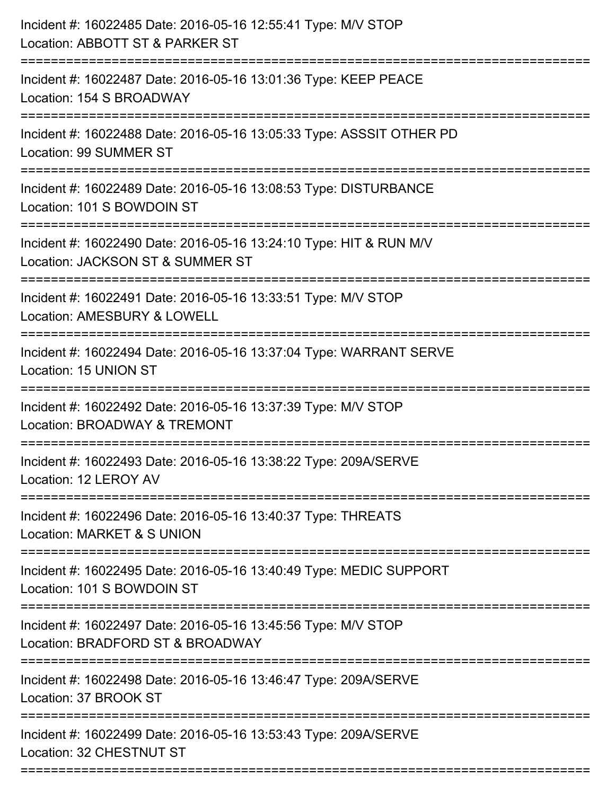| :========================<br>----------------- | Incident #: 16022485 Date: 2016-05-16 12:55:41 Type: M/V STOP<br>Location: ABBOTT ST & PARKER ST<br>------------------- |
|------------------------------------------------|-------------------------------------------------------------------------------------------------------------------------|
|                                                | Incident #: 16022487 Date: 2016-05-16 13:01:36 Type: KEEP PEACE<br>Location: 154 S BROADWAY                             |
|                                                | Incident #: 16022488 Date: 2016-05-16 13:05:33 Type: ASSSIT OTHER PD<br>Location: 99 SUMMER ST                          |
|                                                | Incident #: 16022489 Date: 2016-05-16 13:08:53 Type: DISTURBANCE<br>Location: 101 S BOWDOIN ST                          |
|                                                | Incident #: 16022490 Date: 2016-05-16 13:24:10 Type: HIT & RUN M/V<br>Location: JACKSON ST & SUMMER ST                  |
|                                                | Incident #: 16022491 Date: 2016-05-16 13:33:51 Type: M/V STOP<br>Location: AMESBURY & LOWELL                            |
|                                                | Incident #: 16022494 Date: 2016-05-16 13:37:04 Type: WARRANT SERVE<br>Location: 15 UNION ST                             |
|                                                | Incident #: 16022492 Date: 2016-05-16 13:37:39 Type: M/V STOP<br>Location: BROADWAY & TREMONT                           |
|                                                | Incident #: 16022493 Date: 2016-05-16 13:38:22 Type: 209A/SERVE<br>Location: 12 LEROY AV                                |
|                                                | Incident #: 16022496 Date: 2016-05-16 13:40:37 Type: THREATS<br>Location: MARKET & S UNION                              |
|                                                | Incident #: 16022495 Date: 2016-05-16 13:40:49 Type: MEDIC SUPPORT<br>Location: 101 S BOWDOIN ST                        |
|                                                | Incident #: 16022497 Date: 2016-05-16 13:45:56 Type: M/V STOP<br>Location: BRADFORD ST & BROADWAY                       |
|                                                | Incident #: 16022498 Date: 2016-05-16 13:46:47 Type: 209A/SERVE<br>Location: 37 BROOK ST                                |
|                                                | Incident #: 16022499 Date: 2016-05-16 13:53:43 Type: 209A/SERVE<br>Location: 32 CHESTNUT ST                             |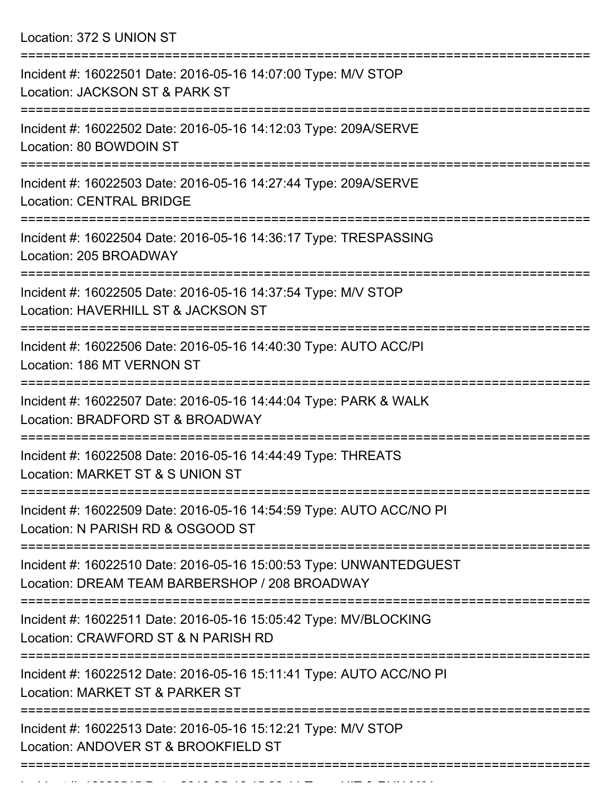Location: 372 S UNION ST

| Incident #: 16022501 Date: 2016-05-16 14:07:00 Type: M/V STOP<br>Location: JACKSON ST & PARK ST                      |
|----------------------------------------------------------------------------------------------------------------------|
| Incident #: 16022502 Date: 2016-05-16 14:12:03 Type: 209A/SERVE<br>Location: 80 BOWDOIN ST                           |
| Incident #: 16022503 Date: 2016-05-16 14:27:44 Type: 209A/SERVE<br><b>Location: CENTRAL BRIDGE</b>                   |
| Incident #: 16022504 Date: 2016-05-16 14:36:17 Type: TRESPASSING<br>Location: 205 BROADWAY                           |
| Incident #: 16022505 Date: 2016-05-16 14:37:54 Type: M/V STOP<br>Location: HAVERHILL ST & JACKSON ST                 |
| Incident #: 16022506 Date: 2016-05-16 14:40:30 Type: AUTO ACC/PI<br>Location: 186 MT VERNON ST                       |
| Incident #: 16022507 Date: 2016-05-16 14:44:04 Type: PARK & WALK<br>Location: BRADFORD ST & BROADWAY                 |
| Incident #: 16022508 Date: 2016-05-16 14:44:49 Type: THREATS<br>Location: MARKET ST & S UNION ST                     |
| Incident #: 16022509 Date: 2016-05-16 14:54:59 Type: AUTO ACC/NO PI<br>Location: N PARISH RD & OSGOOD ST             |
| Incident #: 16022510 Date: 2016-05-16 15:00:53 Type: UNWANTEDGUEST<br>Location: DREAM TEAM BARBERSHOP / 208 BROADWAY |
| Incident #: 16022511 Date: 2016-05-16 15:05:42 Type: MV/BLOCKING<br>Location: CRAWFORD ST & N PARISH RD              |
| Incident #: 16022512 Date: 2016-05-16 15:11:41 Type: AUTO ACC/NO PI<br>Location: MARKET ST & PARKER ST               |
| Incident #: 16022513 Date: 2016-05-16 15:12:21 Type: M/V STOP<br>Location: ANDOVER ST & BROOKFIELD ST                |
|                                                                                                                      |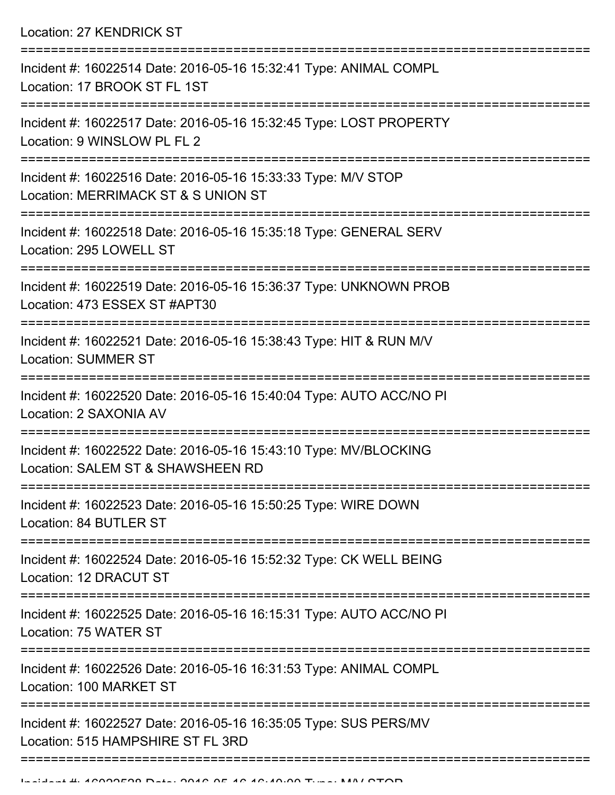Location: 27 KENDRICK ST

| Incident #: 16022514 Date: 2016-05-16 15:32:41 Type: ANIMAL COMPL<br>Location: 17 BROOK ST FL 1ST     |
|-------------------------------------------------------------------------------------------------------|
| Incident #: 16022517 Date: 2016-05-16 15:32:45 Type: LOST PROPERTY<br>Location: 9 WINSLOW PL FL 2     |
| Incident #: 16022516 Date: 2016-05-16 15:33:33 Type: M/V STOP<br>Location: MERRIMACK ST & S UNION ST  |
| Incident #: 16022518 Date: 2016-05-16 15:35:18 Type: GENERAL SERV<br>Location: 295 LOWELL ST          |
| Incident #: 16022519 Date: 2016-05-16 15:36:37 Type: UNKNOWN PROB<br>Location: 473 ESSEX ST #APT30    |
| Incident #: 16022521 Date: 2016-05-16 15:38:43 Type: HIT & RUN M/V<br><b>Location: SUMMER ST</b>      |
| Incident #: 16022520 Date: 2016-05-16 15:40:04 Type: AUTO ACC/NO PI<br>Location: 2 SAXONIA AV         |
| Incident #: 16022522 Date: 2016-05-16 15:43:10 Type: MV/BLOCKING<br>Location: SALEM ST & SHAWSHEEN RD |
| Incident #: 16022523 Date: 2016-05-16 15:50:25 Type: WIRE DOWN<br>Location: 84 BUTLER ST              |
| Incident #: 16022524 Date: 2016-05-16 15:52:32 Type: CK WELL BEING<br>Location: 12 DRACUT ST          |
| Incident #: 16022525 Date: 2016-05-16 16:15:31 Type: AUTO ACC/NO PI<br>Location: 75 WATER ST          |
| Incident #: 16022526 Date: 2016-05-16 16:31:53 Type: ANIMAL COMPL<br>Location: 100 MARKET ST          |
| Incident #: 16022527 Date: 2016-05-16 16:35:05 Type: SUS PERS/MV<br>Location: 515 HAMPSHIRE ST FL 3RD |
|                                                                                                       |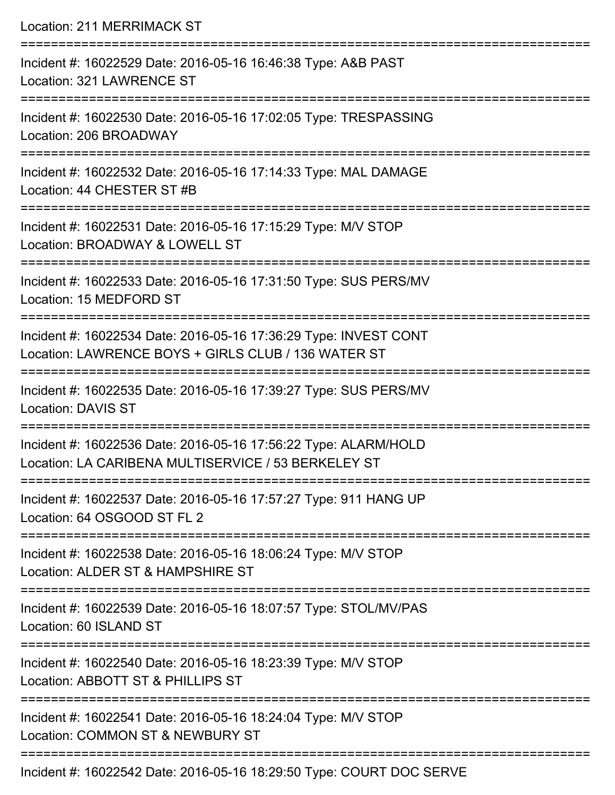| <b>Location: 211 MERRIMACK ST</b>                                                                                                        |
|------------------------------------------------------------------------------------------------------------------------------------------|
| Incident #: 16022529 Date: 2016-05-16 16:46:38 Type: A&B PAST<br>Location: 321 LAWRENCE ST                                               |
| Incident #: 16022530 Date: 2016-05-16 17:02:05 Type: TRESPASSING<br>Location: 206 BROADWAY                                               |
| Incident #: 16022532 Date: 2016-05-16 17:14:33 Type: MAL DAMAGE<br>Location: 44 CHESTER ST #B                                            |
| Incident #: 16022531 Date: 2016-05-16 17:15:29 Type: M/V STOP<br>Location: BROADWAY & LOWELL ST<br>. _ _ _ _ _ _ _ _ _ _ _ _ _ _ _ _ _ _ |
| Incident #: 16022533 Date: 2016-05-16 17:31:50 Type: SUS PERS/MV<br>Location: 15 MEDFORD ST                                              |
| Incident #: 16022534 Date: 2016-05-16 17:36:29 Type: INVEST CONT<br>Location: LAWRENCE BOYS + GIRLS CLUB / 136 WATER ST                  |
| Incident #: 16022535 Date: 2016-05-16 17:39:27 Type: SUS PERS/MV<br><b>Location: DAVIS ST</b>                                            |
| Incident #: 16022536 Date: 2016-05-16 17:56:22 Type: ALARM/HOLD<br>Location: LA CARIBENA MULTISERVICE / 53 BERKELEY ST                   |
| Incident #: 16022537 Date: 2016-05-16 17:57:27 Type: 911 HANG UP<br>Location: 64 OSGOOD ST FL 2                                          |
| Incident #: 16022538 Date: 2016-05-16 18:06:24 Type: M/V STOP<br>Location: ALDER ST & HAMPSHIRE ST                                       |
| Incident #: 16022539 Date: 2016-05-16 18:07:57 Type: STOL/MV/PAS<br>Location: 60 ISLAND ST                                               |
| Incident #: 16022540 Date: 2016-05-16 18:23:39 Type: M/V STOP<br>Location: ABBOTT ST & PHILLIPS ST                                       |
| Incident #: 16022541 Date: 2016-05-16 18:24:04 Type: M/V STOP<br>Location: COMMON ST & NEWBURY ST                                        |
| Incident #: 16022542 Date: 2016-05-16 18:29:50 Type: COURT DOC SERVE                                                                     |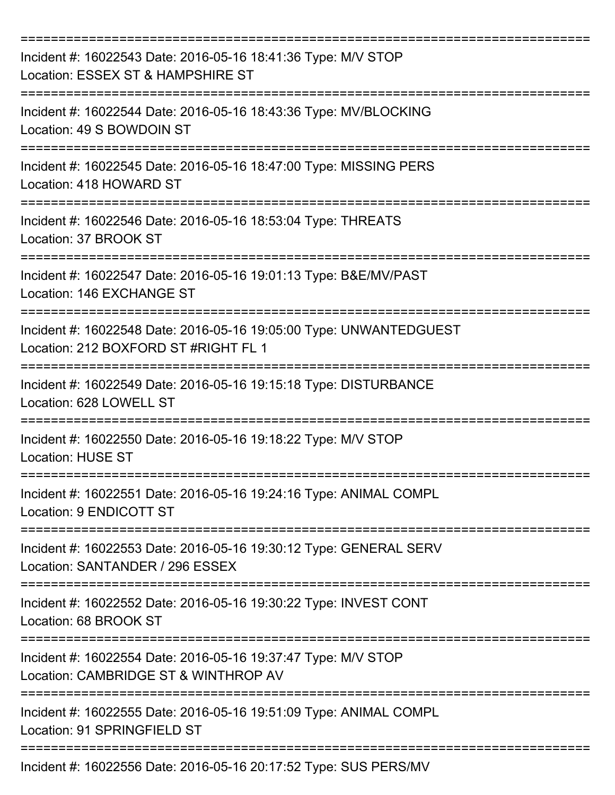| Incident #: 16022543 Date: 2016-05-16 18:41:36 Type: M/V STOP<br>Location: ESSEX ST & HAMPSHIRE ST                                   |
|--------------------------------------------------------------------------------------------------------------------------------------|
| Incident #: 16022544 Date: 2016-05-16 18:43:36 Type: MV/BLOCKING<br>Location: 49 S BOWDOIN ST                                        |
| Incident #: 16022545 Date: 2016-05-16 18:47:00 Type: MISSING PERS<br>Location: 418 HOWARD ST                                         |
| Incident #: 16022546 Date: 2016-05-16 18:53:04 Type: THREATS<br>Location: 37 BROOK ST                                                |
| Incident #: 16022547 Date: 2016-05-16 19:01:13 Type: B&E/MV/PAST<br>Location: 146 EXCHANGE ST<br>=================================== |
| Incident #: 16022548 Date: 2016-05-16 19:05:00 Type: UNWANTEDGUEST<br>Location: 212 BOXFORD ST #RIGHT FL 1                           |
| Incident #: 16022549 Date: 2016-05-16 19:15:18 Type: DISTURBANCE<br>Location: 628 LOWELL ST                                          |
| Incident #: 16022550 Date: 2016-05-16 19:18:22 Type: M/V STOP<br><b>Location: HUSE ST</b>                                            |
| Incident #: 16022551 Date: 2016-05-16 19:24:16 Type: ANIMAL COMPL<br>Location: 9 ENDICOTT ST                                         |
| Incident #: 16022553 Date: 2016-05-16 19:30:12 Type: GENERAL SERV<br>Location: SANTANDER / 296 ESSEX                                 |
| Incident #: 16022552 Date: 2016-05-16 19:30:22 Type: INVEST CONT<br>Location: 68 BROOK ST                                            |
| Incident #: 16022554 Date: 2016-05-16 19:37:47 Type: M/V STOP<br>Location: CAMBRIDGE ST & WINTHROP AV                                |
| Incident #: 16022555 Date: 2016-05-16 19:51:09 Type: ANIMAL COMPL<br>Location: 91 SPRINGFIELD ST                                     |
| Incident #: 16022556 Date: 2016-05-16 20:17:52 Type: SUS PERS/MV                                                                     |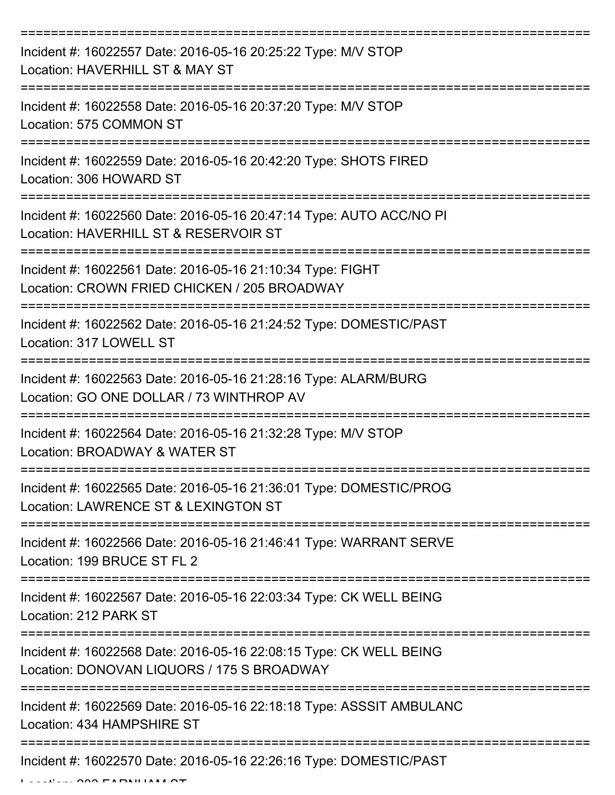| Incident #: 16022557 Date: 2016-05-16 20:25:22 Type: M/V STOP<br>Location: HAVERHILL ST & MAY ST                                 |
|----------------------------------------------------------------------------------------------------------------------------------|
| Incident #: 16022558 Date: 2016-05-16 20:37:20 Type: M/V STOP<br>Location: 575 COMMON ST                                         |
| Incident #: 16022559 Date: 2016-05-16 20:42:20 Type: SHOTS FIRED<br>Location: 306 HOWARD ST                                      |
| Incident #: 16022560 Date: 2016-05-16 20:47:14 Type: AUTO ACC/NO PI<br>Location: HAVERHILL ST & RESERVOIR ST                     |
| Incident #: 16022561 Date: 2016-05-16 21:10:34 Type: FIGHT<br>Location: CROWN FRIED CHICKEN / 205 BROADWAY<br>================== |
| Incident #: 16022562 Date: 2016-05-16 21:24:52 Type: DOMESTIC/PAST<br>Location: 317 LOWELL ST                                    |
| Incident #: 16022563 Date: 2016-05-16 21:28:16 Type: ALARM/BURG<br>Location: GO ONE DOLLAR / 73 WINTHROP AV                      |
| Incident #: 16022564 Date: 2016-05-16 21:32:28 Type: M/V STOP<br>Location: BROADWAY & WATER ST                                   |
| Incident #: 16022565 Date: 2016-05-16 21:36:01 Type: DOMESTIC/PROG<br>Location: LAWRENCE ST & LEXINGTON ST                       |
| Incident #: 16022566 Date: 2016-05-16 21:46:41 Type: WARRANT SERVE<br>Location: 199 BRUCE ST FL 2                                |
| Incident #: 16022567 Date: 2016-05-16 22:03:34 Type: CK WELL BEING<br>Location: 212 PARK ST                                      |
| Incident #: 16022568 Date: 2016-05-16 22:08:15 Type: CK WELL BEING<br>Location: DONOVAN LIQUORS / 175 S BROADWAY                 |
| Incident #: 16022569 Date: 2016-05-16 22:18:18 Type: ASSSIT AMBULANC<br>Location: 434 HAMPSHIRE ST                               |
| Incident #: 16022570 Date: 2016-05-16 22:26:16 Type: DOMESTIC/PAST                                                               |